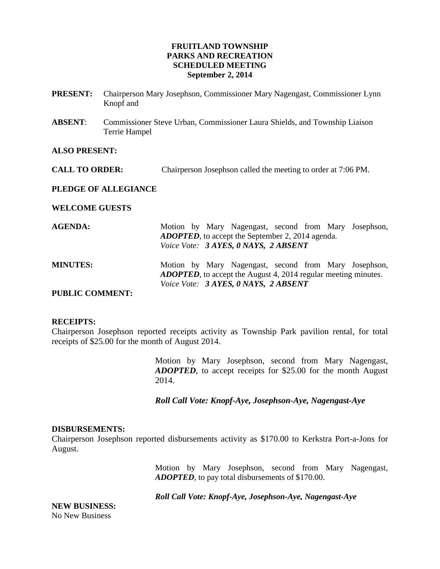# **FRUITLAND TOWNSHIP PARKS AND RECREATION SCHEDULED MEETING September 2, 2014**

- **PRESENT:** Chairperson Mary Josephson, Commissioner Mary Nagengast, Commissioner Lynn Knopf and
- **ABSENT**: Commissioner Steve Urban, Commissioner Laura Shields, and Township Liaison Terrie Hampel

## **ALSO PRESENT:**

**CALL TO ORDER:** Chairperson Josephson called the meeting to order at 7:06 PM.

## **PLEDGE OF ALLEGIANCE**

### **WELCOME GUESTS**

| <b>AGENDA:</b>         | Motion by Mary Nagengast, second from Mary Josephson,<br><b>ADOPTED</b> , to accept the September 2, 2014 agenda.                                                       |
|------------------------|-------------------------------------------------------------------------------------------------------------------------------------------------------------------------|
|                        | Voice Vote: 3 AYES, 0 NAYS, 2 ABSENT                                                                                                                                    |
| <b>MINUTES:</b>        | Motion by Mary Nagengast, second from Mary Josephson,<br><b>ADOPTED</b> , to accept the August 4, 2014 regular meeting minutes.<br>Voice Vote: 3 AYES, 0 NAYS, 2 ABSENT |
| <b>PUBLIC COMMENT:</b> |                                                                                                                                                                         |

### **RECEIPTS:**

Chairperson Josephson reported receipts activity as Township Park pavilion rental, for total receipts of \$25.00 for the month of August 2014.

> Motion by Mary Josephson, second from Mary Nagengast, *ADOPTED*, to accept receipts for \$25.00 for the month August 2014.

*Roll Call Vote: Knopf-Aye, Josephson-Aye, Nagengast-Aye*

### **DISBURSEMENTS:**

Chairperson Josephson reported disbursements activity as \$170.00 to Kerkstra Port-a-Jons for August.

> Motion by Mary Josephson, second from Mary Nagengast, *ADOPTED*, to pay total disbursements of \$170.00.

*Roll Call Vote: Knopf-Aye, Josephson-Aye, Nagengast-Aye*

**NEW BUSINESS:**  No New Business